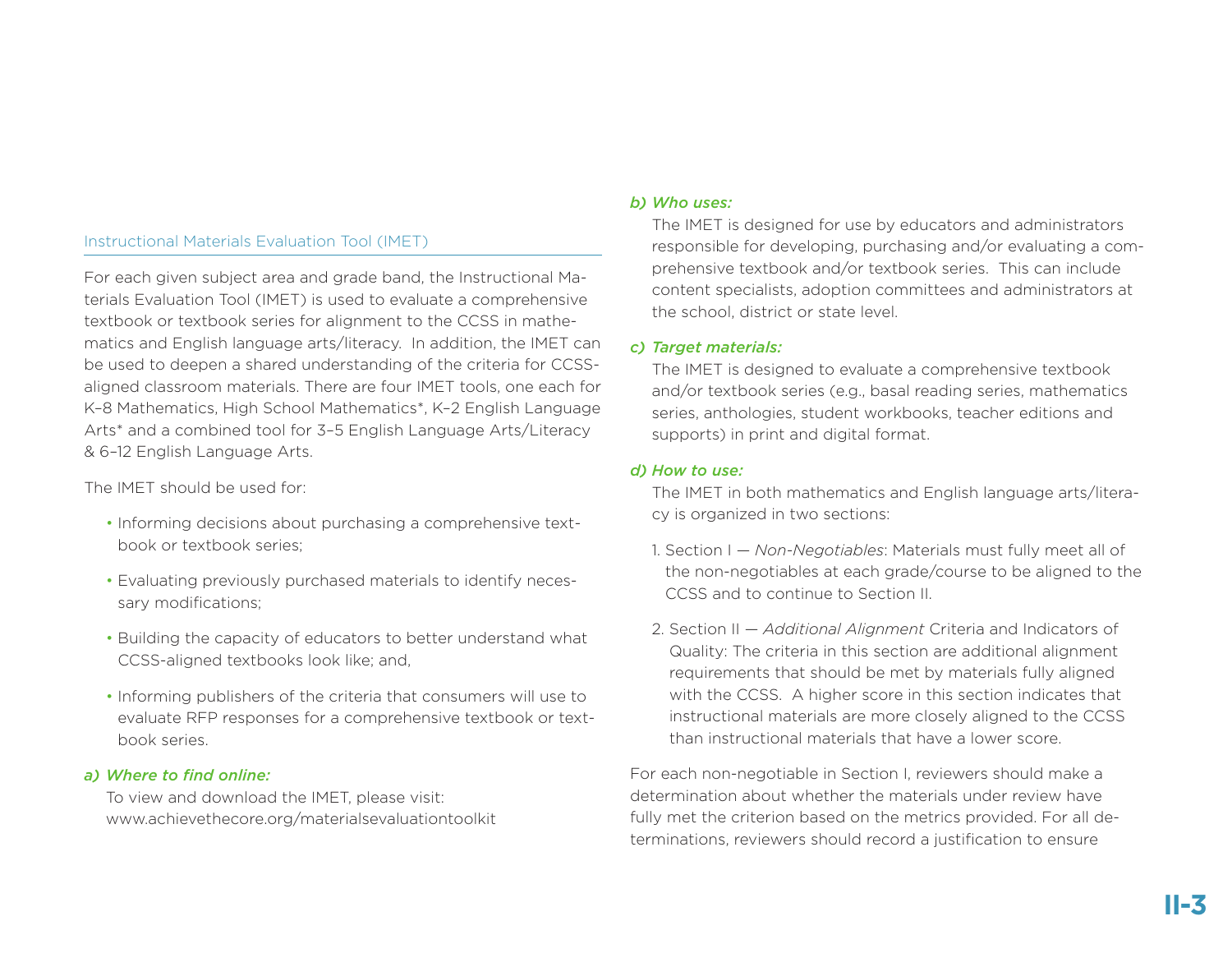# Instructional Materials Evaluation Tool (IMET)

For each given subject area and grade band, the Instructional Materials Evaluation Tool (IMET) is used to evaluate a comprehensive textbook or textbook series for alignment to the CCSS in mathematics and English language arts/literacy. In addition, the IMET can be used to deepen a shared understanding of the criteria for CCSSaligned classroom materials. There are four IMET tools, one each for K–8 Mathematics, High School Mathematics\*, K–2 English Language Arts\* and a combined tool for 3–5 English Language Arts/Literacy & 6–12 English Language Arts.

The IMET should be used for:

- Informing decisions about purchasing a comprehensive textbook or textbook series;
- Evaluating previously purchased materials to identify necessary modifications;
- Building the capacity of educators to better understand what CCSS-aligned textbooks look like; and,
- Informing publishers of the criteria that consumers will use to evaluate RFP responses for a comprehensive textbook or textbook series.

### *a) Where to find online:*

To view and download the IMET, please visit: www.achievethecore.org/materialsevaluationtoolkit

# *b) Who uses:*

The IMET is designed for use by educators and administrators responsible for developing, purchasing and/or evaluating a comprehensive textbook and/or textbook series. This can include content specialists, adoption committees and administrators at the school, district or state level.

### *c) Target materials:*

The IMET is designed to evaluate a comprehensive textbook and/or textbook series (e.g., basal reading series, mathematics series, anthologies, student workbooks, teacher editions and supports) in print and digital format.

# *d) How to use:*

The IMET in both mathematics and English language arts/literacy is organized in two sections:

- 1. Section I *Non-Negotiables*: Materials must fully meet all of the non-negotiables at each grade/course to be aligned to the CCSS and to continue to Section II.
- 2. Section II *Additional Alignment* Criteria and Indicators of Quality: The criteria in this section are additional alignment requirements that should be met by materials fully aligned with the CCSS. A higher score in this section indicates that instructional materials are more closely aligned to the CCSS than instructional materials that have a lower score.

For each non-negotiable in Section I, reviewers should make a determination about whether the materials under review have fully met the criterion based on the metrics provided. For all determinations, reviewers should record a justification to ensure